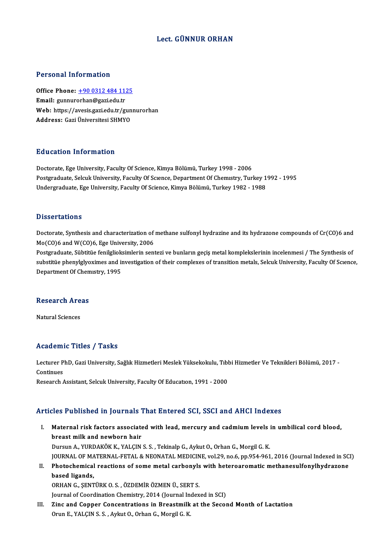### Lect. GÜNNUR ORHAN

#### Personal Information

Personal Information<br>Office Phone: <u>+90 0312 484 1125</u><br>Email: gunnurarhan@sari.edu.tr Procedulation<br>Office Phone: <u>+90 0312 484 11:</u><br>Email: gunnur[orhan@gazi.edu.tr](tel:+90 0312 484 1125) Office Phone: <u>+90 0312 484 1125</u><br>Email: gunnurorhan@gazi.edu.tr<br>Web: https://avesis.gazi.edu.tr/gunnurorhan<br>Address. Cari Üniversitesi.SUMVO Email: gunnurorhan@gazi.edu.tr<br>Web: https://avesis.gazi.edu.tr/gun<br>Address: Gazi Üniversitesi SHMYO

### Education Information

**Education Information<br>Doctorate, Ege University, Faculty Of Science, Kimya Bölümü, Turkey 1998 - 2006<br>Bostanaduate, Solauk University, Faculty Of Science, Department Of Chemistry, Tur** Postgraduate, Selcuk University, Faculty Of Scıence, Department Of Chemıstry, Turkey 1992 - 1995<br>Undergraduate, Ege University, Faculty Of Science, Kimya Bölümü, Turkey 1982 - 1988 Doctorate, Ege University, Faculty Of Science, Kimya Bölümü, Turkey 1998 - 2006<br>Postgraduate, Selcuk University, Faculty Of Science, Department Of Chemistry, Turkey 1<br>Undergraduate, Ege University, Faculty Of Science, Kimy

#### **Dissertations**

Dissertations<br>Doctorate, Synthesis and characterization of methane sulfonyl hydrazine and its hydrazone compounds of Cr(CO)6 and<br>Ma(CO)6 and W(CO)6, Ege University, 2006 Moster decreme<br>Doctorate, Synthesis and characterization of<br>Mo(CO)6 and W(CO)6, Ege University, 2006<br>Restauraduate Sühtitüe fonilalielminine seni Doctorate, Synthesis and characterization of methane sulfonyl hydrazine and its hydrazone compounds of Cr(CO)6 and<br>Mo(CO)6 and W(CO)6, Ege University, 2006<br>Postgraduate, Sübtitüe fenilglioksimlerin sentezi ve bunların geçi

Mo(CO)6 and W(CO)6, Ege University, 2006<br>Postgraduate, Sübtitüe fenilglioksimlerin sentezi ve bunların geçiş metal komplekslerinin incelenmesi / The Synthesis of<br>substitüe phenylglyoximes and investigation of their complex Postgraduate, Sübtitüe fenilgliok<br>substitüe phenylglyoximes and i<br>Department Of Chemistry, 1995

### bepartment of chem<br>Research Areas <mark>Research Are</mark><br>Natural Sciences

## Natural Sciences<br>Academic Titles / Tasks

**Academic Titles / Tasks**<br>Lecturer PhD, Gazi University, Sağlık Hizmetleri Meslek Yüksekokulu, Tıbbi Hizmetler Ve Teknikleri Bölümü, 2017 -<br>Centinues Lecturer P<br>Continues<br>Pessarsh Lecturer PhD, Gazi University, Sağlık Hizmetleri Meslek Yüksekokulu, Tıbl<br>Continues<br>Research Assistant, Selcuk University, Faculty Of Educatıon, 1991 - 2000

## Research Assistant, Selcuk University, Faculty Of Education, 1991 - 2000<br>Articles Published in Journals That Entered SCI, SSCI and AHCI Indexes

- rticles Published in Journals That Entered SCI, SSCI and AHCI Indexes<br>I. Maternal risk factors associated with lead, mercury and cadmium levels in umbilical cord blood,<br>hreast milk and newbern beir breast militaire in pour maise.<br>
Maternal risk factors associate<br>
breast milk and newborn hair<br>
Dureun A. VIIPDAKÖK K. VALCIN breast milk and newborn hair<br>Dursun A., YURDAKÖK K., YALÇIN S. S. , Tekinalp G., Aykut O., Orhan G., Morgil G. K. breast milk and newborn hair<br>Dursun A., YURDAKÖK K., YALÇIN S. S. , Tekinalp G., Aykut O., Orhan G., Morgil G. K.<br>JOURNAL OF MATERNAL-FETAL & NEONATAL MEDICINE, vol.29, no.6, pp.954-961, 2016 (Journal Indexed in SCI)<br>Photo Dursun A., YURDAKÖK K., YALÇIN S. S. , Tekinalp G., Aykut O., Orhan G., Morgil G. K.<br>JOURNAL OF MATERNAL-FETAL & NEONATAL MEDICINE, vol.29, no.6, pp.954-961, 2016 (Journal Indexed in SC<br>II. Photochemical reactions of some
- **JOURNAL OF MA<br>Photochemical<br>based ligands,<br>OPHAN C. SENT** II. Photochemical reactions of some metal carbonyls with heteroaromatic methanesulfonylhydrazone<br>based ligands,<br>ORHAN G., ŞENTÜRK O.S., ÖZDEMİR ÖZMEN Ü., SERT S.

Journal of Coordination Chemistry, 2014 (Journal Indexed in SCI)

III. Zinc and Copper Concentrations in Breastmilk at the Second Month of Lactation Orun E., YALÇIN S. S., Aykut O., Orhan G., Morgil G. K.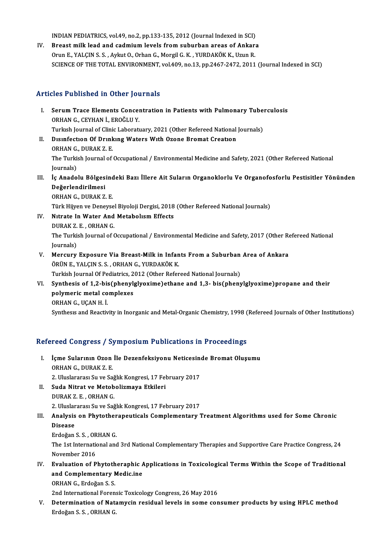INDIAN PEDIATRICS, vol.49, no.2, pp.133-135, 2012 (Journal Indexed in SCI)<br>Preast milk lead and sadmium levels from suburban areas of Ankars

IV. Breast milk lead and cadmium levels from suburban areas of Ankara<br>Orun E., YALCIN S. S., Aykut O., Orhan G., Morgil G. K., YURDAKÖK K., Uzun R. INDIAN PEDIATRICS, vol.49, no.2, pp.133-135, 2012 (Journal Indexed in SCI)<br>Breast milk lead and cadmium levels from suburban areas of Ankar:<br>Orun E., YALÇIN S. S. , Aykut O., Orhan G., Morgil G. K. , YURDAKÖK K., Uzun R.<br>S SCIENCE OF THE TOTAL ENVIRONMENT, vol.409, no.13, pp.2467-2472, 2011 (Journal Indexed in SCI)

### Articles Published in Other Journals

- rticles Published in Other Journals<br>I. Serum Trace Elements Concentration in Patients with Pulmonary Tuberculosis<br>OPHAN G. CEVHAN L. EROČLU V. SEE T ABISHOA IN OCHOI JOC<br>Serum Trace Elements Concel<br>ORHAN G., CEYHAN İ., EROĞLU Y. Serum Trace Elements Concentration in Patients with Pulmonary Tube:<br>ORHAN G., CEYHAN İ., EROĞLU Y.<br>Turkısh Journal of Clinic Laboratuary, 2021 (Other Refereed National Journals)<br>Disinfaction Of Drinking Wators With Ogone P ORHAN G., CEYHAN İ., EROĞLU Y.<br>Turkısh Journal of Clinic Laboratuary, 2021 (Other Refereed National<br>II. Dısınfection Of Drinking Waters With Ozone Bromat Creation<br>OPHAN C. DURAY 7 E
- Turkısh Journal of Clini<br>Dısınfection Of Drink<br>ORHAN G., DURAK Z. E.<br>The Turkish Journal of The Turkish Journal of Occupational / Environmental Medicine and Safety, 2021 (Other Refereed National Journals) ORHAN G., DURAK Z. E. The Turkish Journal of Occupational / Environmental Medicine and Safety, 2021 (Other Refereed National<br>Journals)<br>III. İç Anadolu Bölgesindeki Bazı İllere Ait Suların Organoklorlu Ve Organofosforlu Pestisitler Yönünden<br>D
- Journals)<br>İç Anadolu Bölges<br>Değerlendirilmesi<br>OPHAN C. DUPAK Z İç Anadolu Bölgesind<br>Değerlendirilmesi<br>ORHAN G., DURAK Z. E.<br>Türk Hüyen ve Denevse De<mark>ğerlendirilmesi</mark><br>ORHAN G., DURAK Z. E.<br>Türk Hijyen ve Deneysel Biyoloji Dergisi, 2018 (Other Refereed National Journals)<br>Nitrate Ja Water And Metabolism Effests

- ORHAN G., DURAK Z. E.<br>Türk Hijyen ve Deneysel Biyoloji Dergisi, 2018<br>IV. Nıtrate In Water And Metabolısm Effects<br>DURAK Z. E. , ORHAN G. Türk Hijyen ve Deneyse<br>Nıtrate In Water And<br>DURAK Z. E. , ORHAN G.<br>The Turkish Journal of G Nıtrate In Water And Metabolism Effects<br>DURAK Z. E. , ORHAN G.<br>The Turkish Journal of Occupational / Environmental Medicine and Safety, 2017 (Other Refereed National<br>Journals) DURAK Z.<br>The Turki:<br>Journals)<br>Morgury The Turkish Journal of Occupational / Environmental Medicine and Safety, 2017 (Other Represental)<br>Journals)<br>V. Mercury Exposure Via Breast-Milk in Infants From a Suburban Area of Ankara<br>ÖPÜNE VALCINS S. OPHANG VUPDAKÖK K
- Journals)<br>Mercury Exposure Via Breast-Milk in Infan<br>ÖRÜN E., YALÇIN S.S. , ORHAN G., YURDAKÖK K.<br>Turkish Journal Of Pediatries 2012 (Other Pefer Mercury Exposure Via Breast-Milk in Infants From a Suburban<br>ÖRÜN E., YALÇIN S.S., ORHAN G., YURDAKÖK K.<br>Turkish Journal Of Pediatrics, 2012 (Other Refereed National Journals)<br>Synthosis of 1.2 bis(nhonylslyovime)ethane and
- ÖRÜN E., YALÇIN S. S. , ORHAN G., YURDAKÖK K.<br>Turkish Journal Of Pediatrics, 2012 (Other Refereed National Journals)<br>VI. Synthesis of 1,2-bis(phenylglyoxime)ethane and 1,3- bis(phenylglyoxime)propane and their<br>nolymoris mo Turkish Journal Of Pediatrics, 2<br>Synthesis of 1,2-bis(phenyl<sub>i</sub><br>polymeric metal complexes<br>OPHAN C. UCAN H<sup>1</sup> Synthesis of 1,2-bis<br>polymeric metal co<br>ORHAN G., UÇAN H. İ.<br>Synthesis and Beastiv polymeric metal complexes<br>ORHAN G., UÇAN H. İ.<br>Synthesıs and Reactivity in Inorganic and Metal-Organic Chemistry, 1998 (Refereed Journals of Other Institutions)

# synthesis and Reactivity in Inorganic and Metal-Organic Chemistry, 1998 (<br>Refereed Congress / Symposium Publications in Proceedings

- efereed Congress / Symposium Publications in Proceedings<br>I. İçme Sularının Ozon İle Dezenfeksiyonu Neticesinde Bromat Oluşumu<br>ORHANG DURAKZ E I. İçme Sularının Ozon İle Dezenfeksiyonu Neticesinde Bromat Oluşumu ORHAN G. DURAKZ.E. İçme Sularının Ozon İle Dezenfeksiyonu Neticesin<br>ORHAN G., DURAK Z. E.<br>2. Uluslararası Su ve Sağlık Kongresi, 17 February 2017<br>Suda Nitrat ve Metabalizmaya Etkileri
- II. Suda Nitrat ve Metobolizmaya Etkileri<br>DURAK Z. E., ORHAN G. 2. Uluslararası Su ve Sağ<br>Suda Nitrat ve Metob<br>DURAK Z. E. , ORHAN G.<br>2. Uluslararası Su ve Sağ Suda Nitrat ve Metobolizmaya Etkileri<br>DURAK Z. E. , ORHAN G.<br>2. Uluslararası Su ve Sağlık Kongresi, 17 February 2017<br>Analysis en Phytothereneutisals Complementary 1

DURAK Z. E. , ORHAN G.<br>2. Uluslararası Su ve Sağlık Kongresi, 17 February 2017<br>III. Analysis on Phytotherapeuticals Complementary Treatment Algorithms used for Some Chronic<br>Disease 2. Uluslar<br><mark>Analysis</mark><br>Disease<br><sup>Erdoğan</sup> Analysis on Phytother<br>Disease<br>Erdoğan S. S. , ORHAN G.<br>The 1st International and

Erdoğan S.S., ORHAN G.

Disease<br>Erdoğan S. S. , ORHAN G.<br>The 1st International and 3rd National Complementary Therapies and Supportive Care Practice Congress, 24<br>November 2016 The 1st International and 3rd National Complementary Therapies and Supportive Care Practice Congress, 24<br>November 2016<br>IV. Evaluation of Phytotheraphic Applications in Toxicological Terms Within the Scope of Traditional<br>an

- November 2016<br>Evaluation of Phytotheraphic A<br>and Complementary Medic.ine Evaluation of Phytoth<br>and Complementary N<br>ORHAN G., Erdoğan S. S.<br>2nd International Feren and Complementary Medic.ine<br>ORHAN G., Erdoğan S. S.<br>2nd International Forensic Toxicology Congress, 26 May 2016<br>Determination of Natemysin nosidual levels in some son
	-

ORHAN G., Erdoğan S. S.<br>2nd International Forensic Toxicology Congress, 26 May 2016<br>V. Determination of Natamycin residual levels in some consumer products by using HPLC method<br>Erdoğan S. S. , ORHAN G. 2nd International Foren:<br><mark>Determination of Nat</mark><br>Erdoğan S. S. , ORHAN G.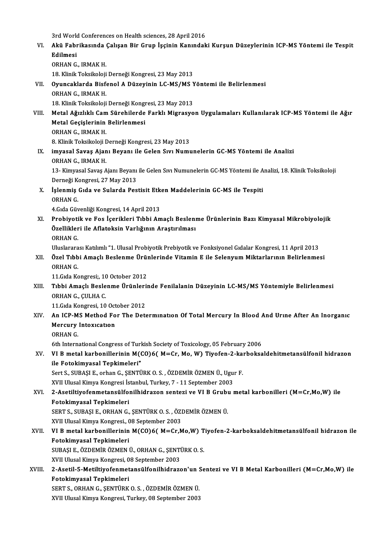3rd World Conferences on Health sciences, 28 April 2016<br>Akü Fehnikasında Calısan Bir Crun İssinin Kanındalı 3rd World Conferences on Health sciences, 28 April 2016<br>VI. Akü Fabrikasında Çalışan Bir Grup İşçinin Kanındaki Kurşun Düzeylerinin ICP-MS Yöntemi ile Tespit<br>Rdilmosi 3rd Work<br>**Akü Fabı<br>Edilmesi**<br>O<sup>RHAN C</sup> Akü Fabrikasında<br>Edilmesi<br>ORHAN G., IRMAK H.<br>19. Klinik Teksikaleji Edilmesi<br>ORHAN G., IRMAK H.<br>18. Klinik Toksikoloji Derneği Kongresi, 23 May 2013<br>Oyungaklarda Bisfanal A Dürovinin L.C. MS (MS N ORHAN G., IRMAK H.<br>18. Klinik Toksikoloji Derneği Kongresi, 23 May 2013<br>VII. Oyuncaklarda Bisfenol A Düzeyinin LC-MS/MS Yöntemi ile Belirlenmesi<br>ORHAN C. IBMAK H 18. Klinik Toksikoloji<br>Oyuncaklarda Bisfo<br>ORHAN G., IRMAK H.<br>19. Klinik Toksikoloji Oyuncaklarda Bisfenol A Düzeyinin LC-MS/MS Y<br>ORHAN G., IRMAK H.<br>18. Klinik Toksikoloji Derneği Kongresi, 23 May 2013<br>Matal Ağızlıklı Cam Sürebilarda Farklı Misrasyo ORHAN G., IRMAK H.<br>18. Klinik Toksikoloji Derneği Kongresi, 23 May 2013<br>VIII. Metal Ağızlıklı Cam Sürehilerde Farklı Migrasyon Uygulamaları Kullanılarak ICP-MS Yöntemi ile Ağır<br>Metal Cesislerinin Belirlenmesi 18. Klinik Toksikoloji Derneği Kongi<br>Metal Ağızlıklı Cam Sürehilerde<br>Metal Geçişlerinin Belirlenmesi<br>OPHAN C. IPMAK H Metal Ağızlıklı Cam<br>Metal Geçişlerinin<br>ORHAN G., IRMAK H.<br>9. Klinik Teksikeleji I 19. Metal Geçişlerinin Belirlenmesi<br>19. ORHAN G., IRMAK H.<br>8. Klinik Toksikoloji Derneği Kongresi, 23 May 2013 ORHAN G., IRMAK H.<br>8. Klinik Toksikoloji Derneği Kongresi, 23 May 2013<br>IX. imyasal Savaş Ajanı Beyanı ile Gelen Sıvı Numunelerin GC-MS Yöntemi ile Analizi<br>OPHAN G. IPMAK H 8. Klinik Toksikoloji I<br><mark>imyasal Savaş Ajan</mark><br>ORHAN G., IRMAK H.<br>12. *Vimyasal Savas A* i<mark>myasal Savaş Ajanı Beyanı ile Gelen Sıvı Numunelerin GC-MS Yöntemi ile Analizi</mark><br>ORHAN G., IRMAK H.<br>13- Kimyasal Savaş Ajanı Beyanı ile Gelen Sıvı Numunelerin GC-MS Yöntemi ile Analizi, 18. Klinik Toksikoloji<br>Derneği Kong ORHAN G., IRMAK H.<br>13- Kimyasal Savaş Ajanı Beyanı<br>Derneği Kongresi, 27 May 2013<br>İslanmiş Cıda ve Sulanda Bes X. İşlenmiş Gıda ve Sularda Pestisit Etken Maddelerinin GC-MS ile Tespiti<br>ORHAN G. Derneği Kongresi, 27 May 2013 4.Gıda Güvenliği Kongresi, 14 April 2013 ORHAN G.<br>4.Gıda Güvenliği Kongresi, 14 April 2013<br>XI. Probiyotik ve Fos İçerikleri Tıbbi Amaçlı Beslenme Ürünlerinin Bazı Kimyasal Mikrobiyolojik<br>Örellikleri ile Aflatakain Varlığının Arastırılması 4.Gıda Güvenliği Kongresi, 14 April 2013<br>Probiyotik ve Fos İçerikleri Tıbbi Amaçlı Beslenı<br>Özellikleri ile Aflatoksin Varlığının Araştırılması<br>OPHAN C Probiyoti<br>Özellikler<br>ORHAN G.<br>Uluslarara Özellikleri ile Aflatoksin Varlığının Araştırılması<br>ORHAN G.<br>Uluslararası Katılımlı "1. Ulusal Probiyotik Prebiyotik ve Fonksiyonel Gıdalar Kongresi, 11 April 2013<br>Özel Tıbbi Amaslı Peslanma Ürünlerinde Vitamin E ile Selen ORHAN G.<br>11 . Üluslararası Katılımlı "1. Ulusal Probiyotik Prebiyotik ve Fonksiyonel Gıdalar Kongresi, 11 April 2013<br>2011. Özel Tıbbi Amaçlı Beslenme Ürünlerinde Vitamin E ile Selenyum Miktarlarının Belirlenmesi<br>2014 N.C Uluslarara<br>**Özel Tıbb**<br>ORHAN G.<br>11 Grda Ke Özel Tıbbi Amaçlı Beslenme Ürü**ı**<br>ORHAN G.<br>11.Gıda Kongresi;, 10 October 2012<br>Tıbbi Amaçlı Beslenme Ürünleri**ı** ORHAN G.<br>11.Gıda Kongresi;, 10 October 2012<br>XIII. Tıbbi Amaçlı Beslenme Ürünlerinde Fenilalanin Düzeyinin LC-MS/MS Yöntemiyle Belirlenmesi<br>ORHAN G. GULHA G 11.Gıda Kongresi;, 10<br>Tıbbi Amaçlı Besle<br>ORHAN G., ÇULHA C.<br>11.Cıda Kongresi 10 Tıbbi Amaçlı Beslenme Ürünleri<br>ORHAN G., ÇULHA C.<br>11.Gıda Kongresi, 10 October 2012<br>An IGB MS Method Fer The Deta ORHAN G., ÇULHA C.<br>11.Gıda Kongresi, 10 October 2012<br>XIV. An ICP-MS Method For The Determination Of Total Mercury In Blood And Urine After An Inorganic<br>Mercury Intoviation 11. Gida Kongresi, 10 October 2012<br>An ICP-MS Method For The Det<br>Mercury Intoxication<br>ORHAN G. An ICP-M<br>Mercury<br>ORHAN G.<br>Eth Intern 6th International Congress of Turkish Society of Toxicology, 05 February 2006 ORHAN G.<br>6th International Congress of Turkish Society of Toxicology, 05 February 2006<br>XV. VI B metal karbonillerinin M(CO)6( M=Cr, Mo, W) Tiyofen-2-karboksaldehitmetansülfonil hidrazon<br>ile Estekimuasel Tenkimeleri" 6th International Congress of Turl<br>VI B metal karbonillerinin M((<br>ile Fotokimyasal Tepkimeleri"<br>Sert S. SUPASLE, erban G. SENTÜ VI B metal karbonillerinin M(CO)6( M=Cr, Mo, W) Tiyofen-2-ka:<br>ile Fotokimyasal Tepkimeleri"<br>Sert S., SUBAŞI E., orhan G., ŞENTÜRK O. S. , ÖZDEMİR ÖZMEN Ü., Ugur F.<br>YVIL Ulugal Kimua Kangrasi İstanbul Turkay 7 , 11 Santamba ile Fotokimyasal Tepkimeleri"<br>Sert S., SUBAŞI E., orhan G., ŞENTÜRK O. S. , ÖZDEMİR ÖZMEN Ü., Ugur F.<br>XVII Ulusal Kimya Kongresi İstanbul, Turkey, 7 - 11 September 2003 Sert S., SUBAŞI E., orhan G., ŞENTÜRK O. S. , ÖZDEMİR ÖZMEN Ü., Ugur F.<br>XVII. Ulusal Kimya Kongresi İstanbul, Turkey, 7 - 11 September 2003<br>XVI. 2-Asetiltiyofenmetansülfonilhidrazon sentezi ve VI B Grubu metal karbonilleri XVII Ulusal Kimya Kongresi İs<br>2-Asetiltiyofenmetansülfo<br>Fotokimyasal Tepkimeleri<br>SEPT S. SUPASLE, OPHAN C 2-Asetiltiyofenmetansülfonilhidrazon sentezi ve VI B Grubı<br>Fotokimyasal Tepkimeleri<br>SERT S., SUBAŞI E., ORHAN G., ŞENTÜRK O. S. , ÖZDEMİR ÖZMEN Ü.<br>YVILUlusal Kimya Kongresi, 08 Sentember 2002 Fotokimyasal Tepkimeleri<br>SERT S., SUBAŞI E., ORHAN G., ŞENTÜRK O. S. , ÖZI<br>XVII Ulusal Kimya Kongresi., 08 September 2003<br>VI B. matal karbanillarının M(CO)E( M=Cr M SERT S., SUBAŞI E., ORHAN G., ŞENTÜRK O. S. , ÖZDEMİR ÖZMEN Ü.<br>XVII Ulusal Kimya Kongresi., 08 September 2003<br>XVII. VI B metal karbonillerinin M(CO)6( M=Cr,Mo,W) Tiyofen-2-karboksaldehitmetansülfonil hidrazon ile<br>Fetek XVII Ulusal Kimya Kongresi., (<br>VI B metal karbonillerinin<br>Fotokimyasal Tepkimeleri<br>SURASI E ÄZDEMİR ÄZMEN I VI B metal karbonillerinin M(CO)6( M=Cr,Mo,W) T<br>Fotokimyasal Tepkimeleri<br>SUBAŞI E., ÖZDEMİR ÖZMEN Ü., ORHAN G., ŞENTÜRK O. S.<br>YVIL Ulusal Kimya Kangresi, 09 Santambar 2002 Fotokimyasal Tepkimeleri<br>SUBASI E., ÖZDEMİR ÖZMEN Ü., ORHAN G., SENTÜRK O. S. XVIII. 2-Asetil-5-Metiltiyofenmetansülfonilhidrazon'un Sentezi ve VI B Metal Karbonilleri (M=Cr,Mo,W) ile<br>Fotokimyasal Tepkimeleri XVII Ulusal Kimya Kongresi, 08 September 2003 2-Asetil-5-Metiltiyofenmetansülfonilhidrazon'un <mark>:</mark><br>Fotokimyasal Tepkimeleri<br>SERT S., ORHAN G., ŞENTÜRK O. S. , ÖZDEMİR ÖZMEN Ü.<br>YVIL Ulugel Kimua Kangresi, Turkey, 08 Santambar 2002 Fotokimyasal Tepkimeleri<br>SERT S., ORHAN G., ŞENTÜRK O. S. , ÖZDEMİR ÖZMEN Ü.<br>XVII Ulusal Kimya Kongresi, Turkey, 08 September 2003